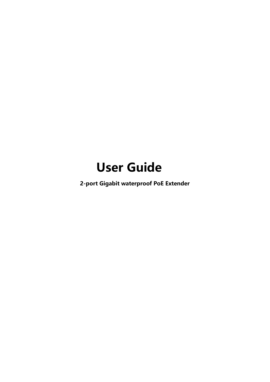# **User Guide**

**2-port Gigabit waterproof PoE Extender**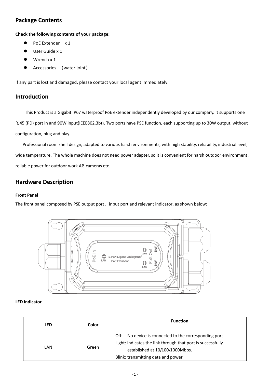## **Package Contents**

**Check the following contents of your package:**

- PoE Extender x 1
- User Guide x 1
- Wrench x 1
- Accessories ([water](javascript:;) [joint](javascript:;))

If any part is lost and damaged, please contact your local agent immediately.

#### **Introduction**

This Product is a Gigabit IP67 waterproof PoE extender independently developed by our company. It supports one RJ45 (PD) port in and 90W input(IEEE802.3bt). Two ports have PSE function, each supporting up to 30W output, without configuration, plug and play.

Professional room shell design, adapted to various harsh environments, with high stability, reliability, industrial level, wide temperature. The whole machine does not need power adapter, so it is convenient for harsh outdoor environment . reliable power for outdoor work AP, cameras etc.

#### **Hardware Description**

#### **Front Panel**

The front panel composed by PSE output port, input port and relevant indicator, as shown below:



#### **LED indicator**

| LED  | Color | <b>Function</b>                                                                                                                                                                                  |
|------|-------|--------------------------------------------------------------------------------------------------------------------------------------------------------------------------------------------------|
| LAN. | Green | No device is connected to the corresponding port<br>Off:<br>Light: Indicates the link through that port is successfully<br>established at 10/100/1000Mbps.<br>Blink: transmitting data and power |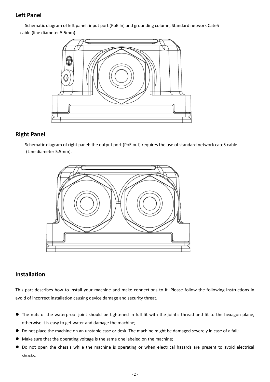### **Left Panel**

Schematic diagram of left panel: input port (PoE In) and grounding column, Standard network Cate5 cable (line diameter 5.5mm).



#### **Right Panel**

Schematic diagram of right panel: the output port (PoE out) requires the use of standard network cate5 cable (Line diameter 5.5mm).



### **Installation**

This part describes how to install your machine and make connections to it. Please follow the following instructions in avoid of incorrect installation causing device damage and security threat.

- The nuts of the waterproof joint should be tightened in full fit with the joint's thread and fit to the hexagon plane, otherwise it is easy to get water and damage the machine;
- Do not place the machine on an unstable case or desk. The machine might be damaged severely in case of a fall;
- Make sure that the operating voltage is the same one labeled on the machine;
- Do not open the chassis while the machine is operating or when electrical hazards are present to avoid electrical shocks.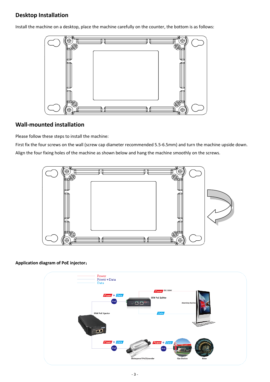# **Desktop Installation**

Install the machine on a desktop, place the machine carefully on the counter, the bottom is as follows:



#### **Wall-mounted installation**

Please follow these steps to install the machine:

First fix the four screws on the wall (screw cap diameter recommended 5.5-6.5mm) and turn the machine upside down. Align the four fixing holes of the machine as shown below and hang the machine smoothly on the screws.



#### **Application diagram of PoE injector**: